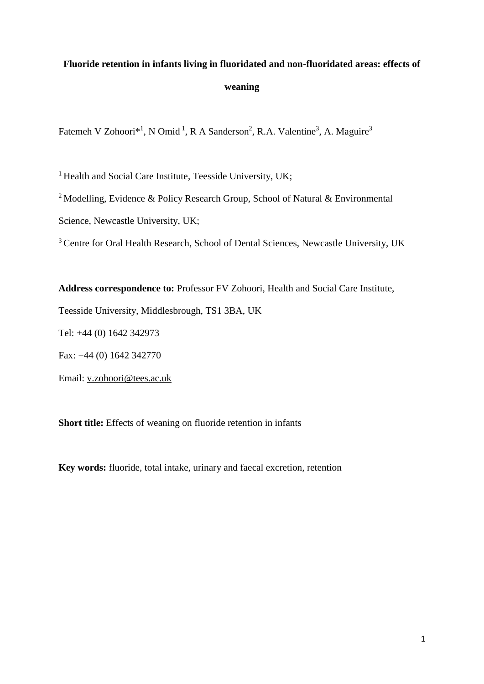# **Fluoride retention in infants living in fluoridated and non-fluoridated areas: effects of weaning**

Fatemeh V Zohoori\*<sup>1</sup>, N Omid<sup>1</sup>, R A Sanderson<sup>2</sup>, R.A. Valentine<sup>3</sup>, A. Maguire<sup>3</sup>

<sup>1</sup> Health and Social Care Institute, Teesside University, UK;

<sup>2</sup> Modelling, Evidence & Policy Research Group, School of Natural & Environmental

Science, Newcastle University, UK;

<sup>3</sup> Centre for Oral Health Research, School of Dental Sciences, Newcastle University, UK

**Address correspondence to:** Professor FV Zohoori, Health and Social Care Institute, Teesside University, Middlesbrough, TS1 3BA, UK Tel: +44 (0) 1642 342973 Fax: +44 (0) 1642 342770 Email: [v.zohoori@tees.ac.uk](mailto:v.zohoori@tees.ac.uk)

**Short title:** Effects of weaning on fluoride retention in infants

**Key words:** fluoride, total intake, urinary and faecal excretion, retention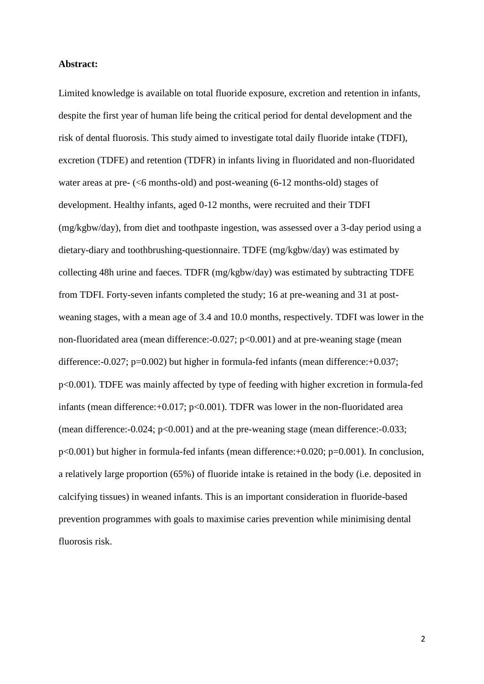### **Abstract:**

Limited knowledge is available on total fluoride exposure, excretion and retention in infants, despite the first year of human life being the critical period for dental development and the risk of dental fluorosis. This study aimed to investigate total daily fluoride intake (TDFI), excretion (TDFE) and retention (TDFR) in infants living in fluoridated and non-fluoridated water areas at pre- (<6 months-old) and post-weaning (6-12 months-old) stages of development. Healthy infants, aged 0-12 months, were recruited and their TDFI (mg/kgbw/day), from diet and toothpaste ingestion, was assessed over a 3-day period using a dietary-diary and toothbrushing-questionnaire. TDFE (mg/kgbw/day) was estimated by collecting 48h urine and faeces. TDFR (mg/kgbw/day) was estimated by subtracting TDFE from TDFI. Forty-seven infants completed the study; 16 at pre-weaning and 31 at postweaning stages, with a mean age of 3.4 and 10.0 months, respectively. TDFI was lower in the non-fluoridated area (mean difference:-0.027; p<0.001) and at pre-weaning stage (mean difference:-0.027; p=0.002) but higher in formula-fed infants (mean difference:+0.037; p<0.001). TDFE was mainly affected by type of feeding with higher excretion in formula-fed infants (mean difference: $+0.017$ ; p $< 0.001$ ). TDFR was lower in the non-fluoridated area (mean difference:-0.024; p<0.001) and at the pre-weaning stage (mean difference:-0.033; p<0.001) but higher in formula-fed infants (mean difference:+0.020; p=0.001). In conclusion, a relatively large proportion (65%) of fluoride intake is retained in the body (i.e. deposited in calcifying tissues) in weaned infants. This is an important consideration in fluoride-based prevention programmes with goals to maximise caries prevention while minimising dental fluorosis risk.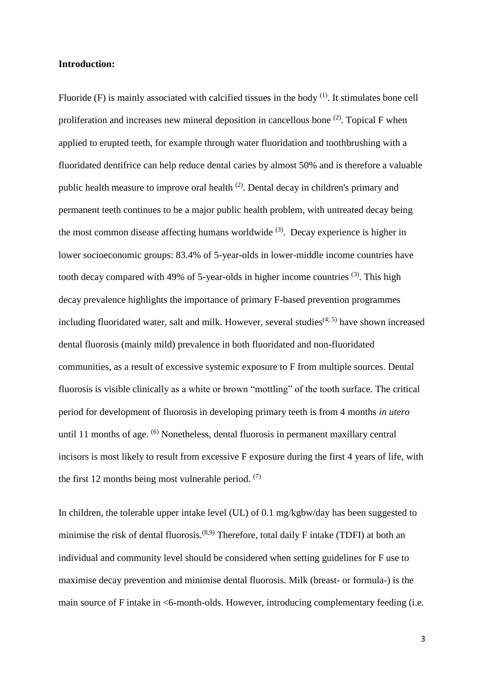### **Introduction:**

Fluoride  $(F)$  is mainly associated with calcified tissues in the body  $<sup>(1)</sup>$ . It stimulates bone cell</sup> proliferation and increases new mineral deposition in cancellous bone  $(2)$ . Topical F when applied to erupted teeth, for example through water fluoridation and toothbrushing with a fluoridated dentifrice can help reduce dental caries by almost 50% and is therefore a valuable public health measure to improve oral health  $(2)$ . Dental decay in children's primary and permanent teeth continues to be a major public health problem, with untreated decay being the most common disease affecting humans worldwide  $(3)$ . Decay experience is higher in lower socioeconomic groups: 83.4% of 5-year-olds in lower-middle income countries have tooth decay compared with 49% of 5-year-olds in higher income countries  $(3)$ . This high decay prevalence highlights the importance of primary F-based prevention programmes including fluoridated water, salt and milk. However, several studies $(4, 5)$  have shown increased dental fluorosis (mainly mild) prevalence in both fluoridated and non-fluoridated communities, as a result of excessive systemic exposure to F from multiple sources. Dental fluorosis is visible clinically as a white or brown "mottling" of the tooth surface. The critical period for development of fluorosis in developing primary teeth is from 4 months *in utero* until 11 months of age. <sup>(6)</sup> Nonetheless, dental fluorosis in permanent maxillary central incisors is most likely to result from excessive F exposure during the first 4 years of life, with the first 12 months being most vulnerable period.  $(7)$ 

In children, the tolerable upper intake level (UL) of 0.1 mg/kgbw/day has been suggested to minimise the risk of dental fluorosis.<sup> $(8,9)$ </sup> Therefore, total daily F intake (TDFI) at both an individual and community level should be considered when setting guidelines for F use to maximise decay prevention and minimise dental fluorosis. Milk (breast- or formula-) is the main source of F intake in <6-month-olds. However, introducing complementary feeding (i.e.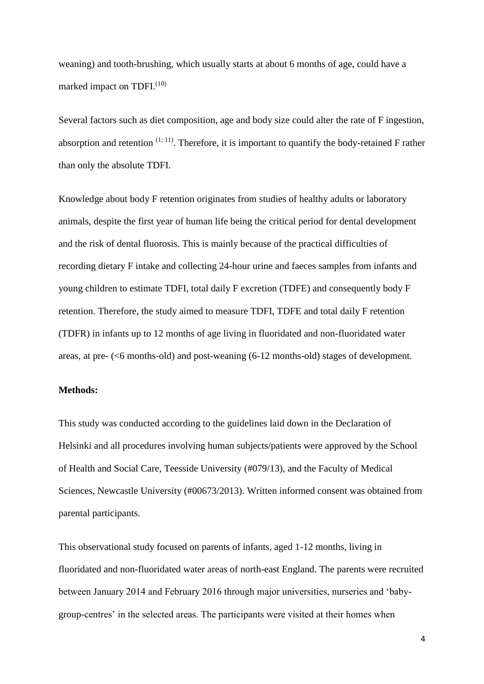weaning) and tooth-brushing, which usually starts at about 6 months of age, could have a marked impact on TDFI.<sup>(10)</sup>

Several factors such as diet composition, age and body size could alter the rate of F ingestion, absorption and retention  $(1, 11)$ . Therefore, it is important to quantify the body-retained F rather than only the absolute TDFI.

Knowledge about body F retention originates from studies of healthy adults or laboratory animals, despite the first year of human life being the critical period for dental development and the risk of dental fluorosis. This is mainly because of the practical difficulties of recording dietary F intake and collecting 24-hour urine and faeces samples from infants and young children to estimate TDFI, total daily F excretion (TDFE) and consequently body F retention. Therefore, the study aimed to measure TDFI, TDFE and total daily F retention (TDFR) in infants up to 12 months of age living in fluoridated and non-fluoridated water areas, at pre- (<6 months-old) and post-weaning (6-12 months-old) stages of development.

# **Methods:**

This study was conducted according to the guidelines laid down in the Declaration of Helsinki and all procedures involving human subjects/patients were approved by the School of Health and Social Care, Teesside University (#079/13), and the Faculty of Medical Sciences, Newcastle University (#00673/2013). Written informed consent was obtained from parental participants.

This observational study focused on parents of infants, aged 1-12 months, living in fluoridated and non-fluoridated water areas of north-east England. The parents were recruited between January 2014 and February 2016 through major universities, nurseries and 'babygroup-centres' in the selected areas. The participants were visited at their homes when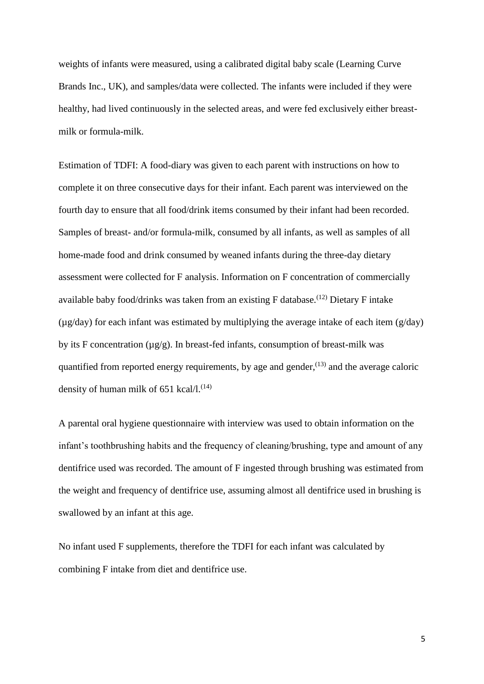weights of infants were measured, using a calibrated digital baby scale (Learning Curve Brands Inc., UK), and samples/data were collected. The infants were included if they were healthy, had lived continuously in the selected areas, and were fed exclusively either breastmilk or formula-milk.

Estimation of TDFI: A food-diary was given to each parent with instructions on how to complete it on three consecutive days for their infant. Each parent was interviewed on the fourth day to ensure that all food/drink items consumed by their infant had been recorded. Samples of breast- and/or formula-milk, consumed by all infants, as well as samples of all home-made food and drink consumed by weaned infants during the three-day dietary assessment were collected for F analysis. Information on F concentration of commercially available baby food/drinks was taken from an existing  $F$  database.<sup>(12)</sup> Dietary  $F$  intake  $(\mu g/day)$  for each infant was estimated by multiplying the average intake of each item  $(g/day)$ by its F concentration  $(\mu g/g)$ . In breast-fed infants, consumption of breast-milk was quantified from reported energy requirements, by age and gender,  $(13)$  and the average caloric density of human milk of 651 kcal/l. $(14)$ 

A parental oral hygiene questionnaire with interview was used to obtain information on the infant's toothbrushing habits and the frequency of cleaning/brushing, type and amount of any dentifrice used was recorded. The amount of F ingested through brushing was estimated from the weight and frequency of dentifrice use, assuming almost all dentifrice used in brushing is swallowed by an infant at this age.

No infant used F supplements, therefore the TDFI for each infant was calculated by combining F intake from diet and dentifrice use.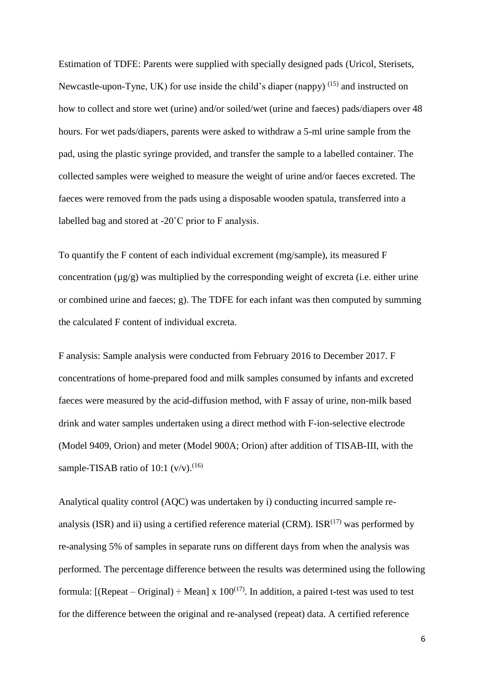Estimation of TDFE: Parents were supplied with specially designed pads (Uricol, Sterisets, Newcastle-upon-Tyne, UK) for use inside the child's diaper (nappy)  $(15)$  and instructed on how to collect and store wet (urine) and/or soiled/wet (urine and faeces) pads/diapers over 48 hours. For wet pads/diapers, parents were asked to withdraw a 5-ml urine sample from the pad, using the plastic syringe provided, and transfer the sample to a labelled container. The collected samples were weighed to measure the weight of urine and/or faeces excreted. The faeces were removed from the pads using a disposable wooden spatula, transferred into a labelled bag and stored at -20˚C prior to F analysis.

To quantify the F content of each individual excrement (mg/sample), its measured F concentration  $(\mu g/g)$  was multiplied by the corresponding weight of excreta (i.e. either urine or combined urine and faeces; g). The TDFE for each infant was then computed by summing the calculated F content of individual excreta.

F analysis: Sample analysis were conducted from February 2016 to December 2017. F concentrations of home-prepared food and milk samples consumed by infants and excreted faeces were measured by the acid-diffusion method, with F assay of urine, non-milk based drink and water samples undertaken using a direct method with F-ion-selective electrode (Model 9409, Orion) and meter (Model 900A; Orion) after addition of TISAB-III, with the sample-TISAB ratio of 10:1  $(v/v)$ .<sup>(16)</sup>

Analytical quality control (AQC) was undertaken by i) conducting incurred sample reanalysis (ISR) and ii) using a certified reference material (CRM).  $ISR^{(17)}$  was performed by re-analysing 5% of samples in separate runs on different days from when the analysis was performed. The percentage difference between the results was determined using the following formula: [(Repeat – Original)  $\div$  Mean] x 100<sup>(17)</sup>. In addition, a paired t-test was used to test for the difference between the original and re-analysed (repeat) data. A certified reference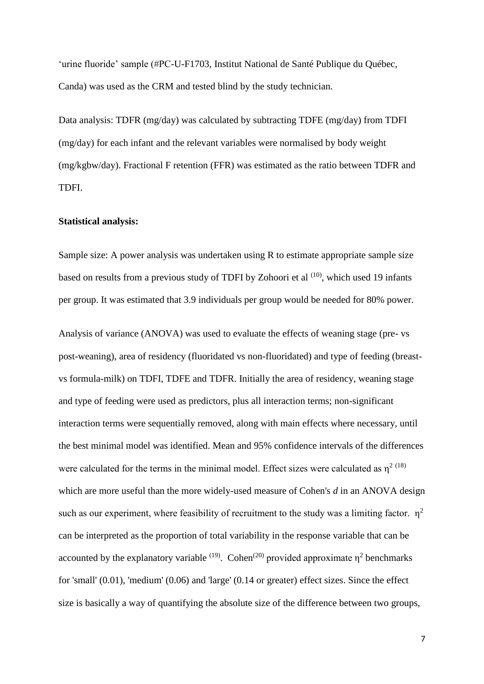'urine fluoride' sample (#PC-U-F1703, Institut National de Santé Publique du Québec, Canda) was used as the CRM and tested blind by the study technician.

Data analysis: TDFR (mg/day) was calculated by subtracting TDFE (mg/day) from TDFI (mg/day) for each infant and the relevant variables were normalised by body weight (mg/kgbw/day). Fractional F retention (FFR) was estimated as the ratio between TDFR and TDFI.

### **Statistical analysis:**

Sample size: A power analysis was undertaken using R to estimate appropriate sample size based on results from a previous study of TDFI by Zohoori et al <sup>(10)</sup>, which used 19 infants per group. It was estimated that 3.9 individuals per group would be needed for 80% power.

Analysis of variance (ANOVA) was used to evaluate the effects of weaning stage (pre- vs post-weaning), area of residency (fluoridated vs non-fluoridated) and type of feeding (breastvs formula-milk) on TDFI, TDFE and TDFR. Initially the area of residency, weaning stage and type of feeding were used as predictors, plus all interaction terms; non-significant interaction terms were sequentially removed, along with main effects where necessary, until the best minimal model was identified. Mean and 95% confidence intervals of the differences were calculated for the terms in the minimal model. Effect sizes were calculated as  $\eta^{2}$  (18) which are more useful than the more widely-used measure of Cohen's *d* in an ANOVA design such as our experiment, where feasibility of recruitment to the study was a limiting factor.  $\eta^2$ can be interpreted as the proportion of total variability in the response variable that can be accounted by the explanatory variable <sup>(19)</sup>. Cohen<sup>(20)</sup> provided approximate  $\eta^2$  benchmarks for 'small' (0.01), 'medium' (0.06) and 'large' (0.14 or greater) effect sizes. Since the effect size is basically a way of quantifying the absolute size of the difference between two groups,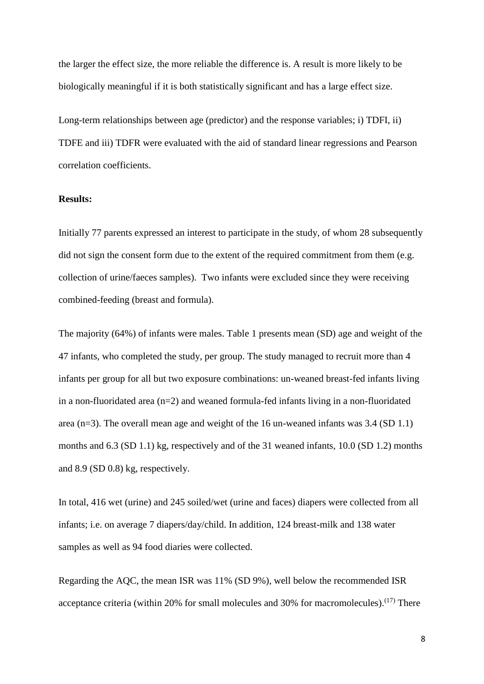the larger the effect size, the more reliable the difference is. A result is more likely to be biologically meaningful if it is both statistically significant and has a large effect size.

Long-term relationships between age (predictor) and the response variables; i) TDFI, ii) TDFE and iii) TDFR were evaluated with the aid of standard linear regressions and Pearson correlation coefficients.

### **Results:**

Initially 77 parents expressed an interest to participate in the study, of whom 28 subsequently did not sign the consent form due to the extent of the required commitment from them (e.g. collection of urine/faeces samples). Two infants were excluded since they were receiving combined-feeding (breast and formula).

The majority (64%) of infants were males. Table 1 presents mean (SD) age and weight of the 47 infants, who completed the study, per group. The study managed to recruit more than 4 infants per group for all but two exposure combinations: un-weaned breast-fed infants living in a non-fluoridated area  $(n=2)$  and weaned formula-fed infants living in a non-fluoridated area (n=3). The overall mean age and weight of the 16 un-weaned infants was 3.4 (SD 1.1) months and 6.3 (SD 1.1) kg, respectively and of the 31 weaned infants, 10.0 (SD 1.2) months and 8.9 (SD 0.8) kg, respectively.

In total, 416 wet (urine) and 245 soiled/wet (urine and faces) diapers were collected from all infants; i.e. on average 7 diapers/day/child. In addition, 124 breast-milk and 138 water samples as well as 94 food diaries were collected.

Regarding the AQC, the mean ISR was 11% (SD 9%), well below the recommended ISR acceptance criteria (within 20% for small molecules and 30% for macromolecules).  $(17)$  There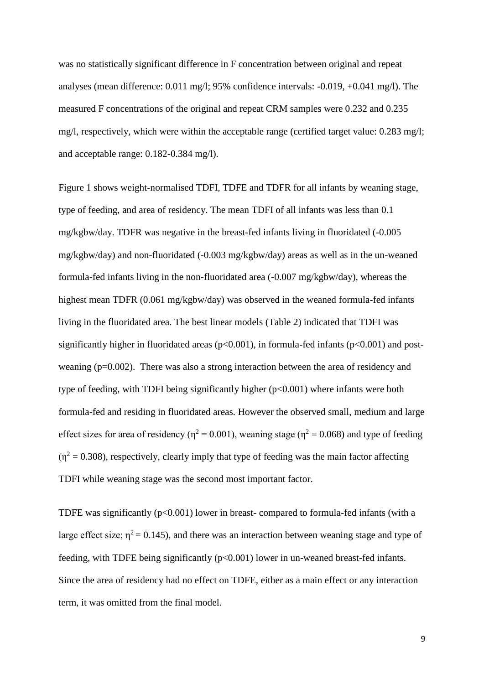was no statistically significant difference in F concentration between original and repeat analyses (mean difference: 0.011 mg/l; 95% confidence intervals: -0.019, +0.041 mg/l). The measured F concentrations of the original and repeat CRM samples were 0.232 and 0.235 mg/l, respectively, which were within the acceptable range (certified target value: 0.283 mg/l; and acceptable range: 0.182-0.384 mg/l).

Figure 1 shows weight-normalised TDFI, TDFE and TDFR for all infants by weaning stage, type of feeding, and area of residency. The mean TDFI of all infants was less than 0.1 mg/kgbw/day. TDFR was negative in the breast-fed infants living in fluoridated (-0.005 mg/kgbw/day) and non-fluoridated (-0.003 mg/kgbw/day) areas as well as in the un-weaned formula-fed infants living in the non-fluoridated area (-0.007 mg/kgbw/day), whereas the highest mean TDFR (0.061 mg/kgbw/day) was observed in the weaned formula-fed infants living in the fluoridated area. The best linear models (Table 2) indicated that TDFI was significantly higher in fluoridated areas ( $p<0.001$ ), in formula-fed infants ( $p<0.001$ ) and postweaning (p=0.002). There was also a strong interaction between the area of residency and type of feeding, with TDFI being significantly higher (p<0.001) where infants were both formula-fed and residing in fluoridated areas. However the observed small, medium and large effect sizes for area of residency ( $\eta^2 = 0.001$ ), weaning stage ( $\eta^2 = 0.068$ ) and type of feeding  $(\eta^2 = 0.308)$ , respectively, clearly imply that type of feeding was the main factor affecting TDFI while weaning stage was the second most important factor.

TDFE was significantly (p<0.001) lower in breast- compared to formula-fed infants (with a large effect size;  $\eta^2 = 0.145$ ), and there was an interaction between weaning stage and type of feeding, with TDFE being significantly (p<0.001) lower in un-weaned breast-fed infants. Since the area of residency had no effect on TDFE, either as a main effect or any interaction term, it was omitted from the final model.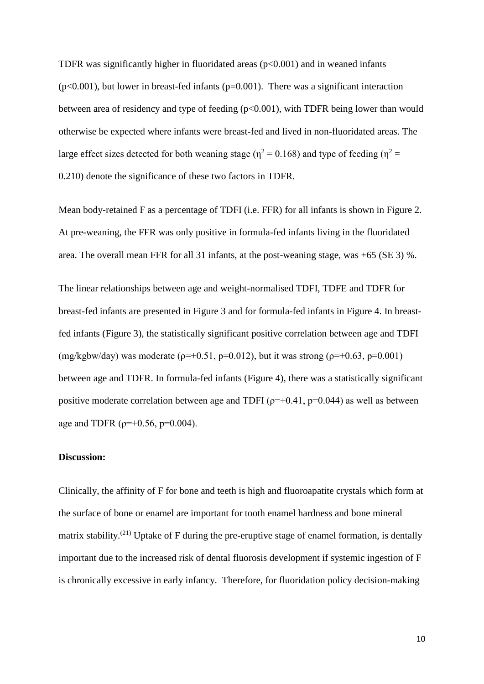TDFR was significantly higher in fluoridated areas  $(p<0.001)$  and in weaned infants  $(p<0.001)$ , but lower in breast-fed infants  $(p=0.001)$ . There was a significant interaction between area of residency and type of feeding (p<0.001), with TDFR being lower than would otherwise be expected where infants were breast-fed and lived in non-fluoridated areas. The large effect sizes detected for both weaning stage ( $\eta^2$  = 0.168) and type of feeding ( $\eta^2$  = 0.210) denote the significance of these two factors in TDFR.

Mean body-retained F as a percentage of TDFI (i.e. FFR) for all infants is shown in Figure 2. At pre-weaning, the FFR was only positive in formula-fed infants living in the fluoridated area. The overall mean FFR for all 31 infants, at the post-weaning stage, was +65 (SE 3) %.

The linear relationships between age and weight-normalised TDFI, TDFE and TDFR for breast-fed infants are presented in Figure 3 and for formula-fed infants in Figure 4. In breastfed infants (Figure 3), the statistically significant positive correlation between age and TDFI (mg/kgbw/day) was moderate ( $p=+0.51$ ,  $p=0.012$ ), but it was strong ( $p=+0.63$ ,  $p=0.001$ ) between age and TDFR. In formula-fed infants (Figure 4), there was a statistically significant positive moderate correlation between age and TDFI ( $\rho=+0.41$ ,  $p=0.044$ ) as well as between age and TDFR ( $\rho=+0.56$ ,  $p=0.004$ ).

## **Discussion:**

Clinically, the affinity of F for bone and teeth is high and fluoroapatite crystals which form at the surface of bone or enamel are important for tooth enamel hardness and bone mineral matrix stability.<sup>(21)</sup> Uptake of F during the pre-eruptive stage of enamel formation, is dentally important due to the increased risk of dental fluorosis development if systemic ingestion of F is chronically excessive in early infancy. Therefore, for fluoridation policy decision-making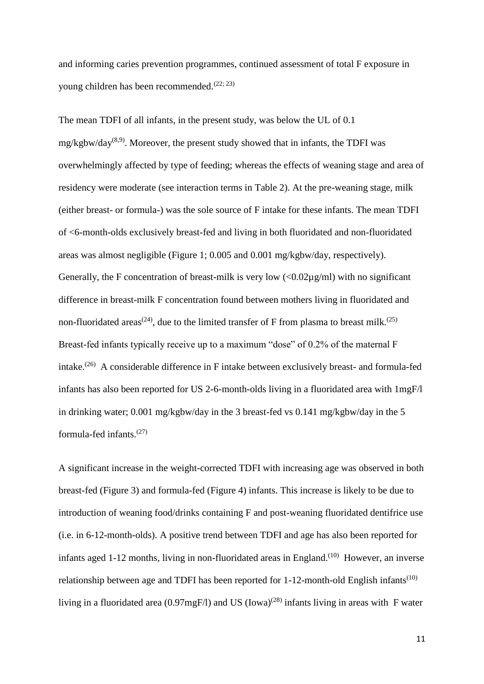and informing caries prevention programmes, continued assessment of total F exposure in young children has been recommended.<sup> $(22; 23)$ </sup>

The mean TDFI of all infants, in the present study, was below the UL of 0.1 mg/kgbw/day<sup>(8,9)</sup>. Moreover, the present study showed that in infants, the TDFI was overwhelmingly affected by type of feeding; whereas the effects of weaning stage and area of residency were moderate (see interaction terms in Table 2). At the pre-weaning stage, milk (either breast- or formula-) was the sole source of F intake for these infants. The mean TDFI of <6-month-olds exclusively breast-fed and living in both fluoridated and non-fluoridated areas was almost negligible (Figure 1; 0.005 and 0.001 mg/kgbw/day, respectively). Generally, the F concentration of breast-milk is very low  $\langle 0.02\mu g/ml \rangle$  with no significant difference in breast-milk F concentration found between mothers living in fluoridated and non-fluoridated areas<sup>(24)</sup>, due to the limited transfer of F from plasma to breast milk.<sup>(25)</sup> Breast-fed infants typically receive up to a maximum "dose" of 0.2% of the maternal F intake.<sup>(26)</sup> A considerable difference in F intake between exclusively breast- and formula-fed infants has also been reported for US 2-6-month-olds living in a fluoridated area with 1mgF/l in drinking water; 0.001 mg/kgbw/day in the 3 breast-fed vs 0.141 mg/kgbw/day in the 5 formula-fed infants. $(27)$ 

A significant increase in the weight-corrected TDFI with increasing age was observed in both breast-fed (Figure 3) and formula-fed (Figure 4) infants. This increase is likely to be due to introduction of weaning food/drinks containing F and post-weaning fluoridated dentifrice use (i.e. in 6-12-month-olds). A positive trend between TDFI and age has also been reported for infants aged 1-12 months, living in non-fluoridated areas in England.<sup>(10)</sup> However, an inverse relationship between age and TDFI has been reported for  $1-12$ -month-old English infants<sup>(10)</sup> living in a fluoridated area (0.97mgF/l) and US (Iowa)<sup>(28)</sup> infants living in areas with F water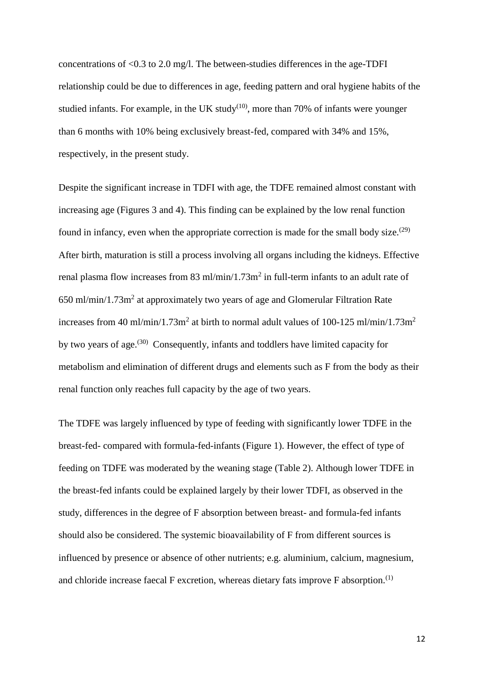concentrations of <0.3 to 2.0 mg/l. The between-studies differences in the age-TDFI relationship could be due to differences in age, feeding pattern and oral hygiene habits of the studied infants. For example, in the UK study<sup>(10)</sup>, more than 70% of infants were younger than 6 months with 10% being exclusively breast-fed, compared with 34% and 15%, respectively, in the present study.

Despite the significant increase in TDFI with age, the TDFE remained almost constant with increasing age (Figures 3 and 4). This finding can be explained by the low renal function found in infancy, even when the appropriate correction is made for the small body size.<sup> $(29)$ </sup> After birth, maturation is still a process involving all organs including the kidneys. Effective renal plasma flow increases from 83 ml/min/1.73m<sup>2</sup> in full-term infants to an adult rate of 650 ml/min/1.73m<sup>2</sup> at approximately two years of age and Glomerular Filtration Rate increases from 40 ml/min/1.73m<sup>2</sup> at birth to normal adult values of 100-125 ml/min/1.73m<sup>2</sup> by two years of age.<sup>(30)</sup> Consequently, infants and toddlers have limited capacity for metabolism and elimination of different drugs and elements such as F from the body as their renal function only reaches full capacity by the age of two years.

The TDFE was largely influenced by type of feeding with significantly lower TDFE in the breast-fed- compared with formula-fed-infants (Figure 1). However, the effect of type of feeding on TDFE was moderated by the weaning stage (Table 2). Although lower TDFE in the breast-fed infants could be explained largely by their lower TDFI, as observed in the study, differences in the degree of F absorption between breast- and formula-fed infants should also be considered. The systemic bioavailability of F from different sources is influenced by presence or absence of other nutrients; e.g. aluminium, calcium, magnesium, and chloride increase faecal  $F$  excretion, whereas dietary fats improve  $F$  absorption.<sup>(1)</sup>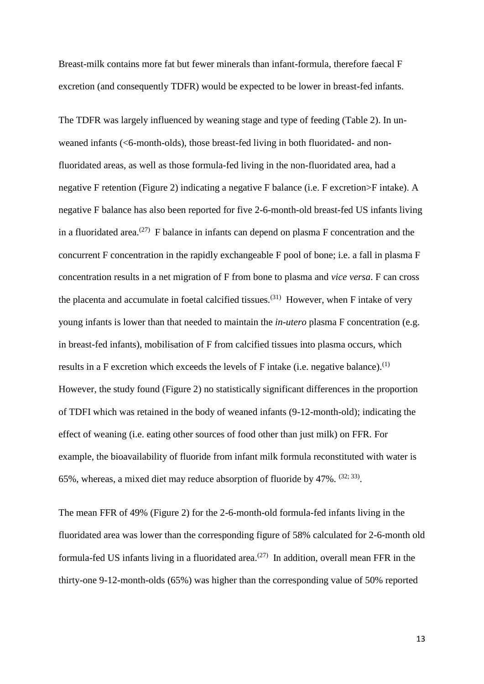Breast-milk contains more fat but fewer minerals than infant-formula, therefore faecal F excretion (and consequently TDFR) would be expected to be lower in breast-fed infants.

The TDFR was largely influenced by weaning stage and type of feeding (Table 2). In unweaned infants (<6-month-olds), those breast-fed living in both fluoridated- and nonfluoridated areas, as well as those formula-fed living in the non-fluoridated area, had a negative F retention (Figure 2) indicating a negative F balance (i.e. F excretion>F intake). A negative F balance has also been reported for five 2-6-month-old breast-fed US infants living in a fluoridated area.<sup>(27)</sup> F balance in infants can depend on plasma F concentration and the concurrent F concentration in the rapidly exchangeable F pool of bone; i.e. a fall in plasma F concentration results in a net migration of F from bone to plasma and *vice versa*. F can cross the placenta and accumulate in foetal calcified tissues.<sup>(31)</sup> However, when F intake of very young infants is lower than that needed to maintain the *in-utero* plasma F concentration (e.g. in breast-fed infants), mobilisation of F from calcified tissues into plasma occurs, which results in a F excretion which exceeds the levels of F intake (i.e. negative balance).<sup>(1)</sup> However, the study found (Figure 2) no statistically significant differences in the proportion of TDFI which was retained in the body of weaned infants (9-12-month-old); indicating the effect of weaning (i.e. eating other sources of food other than just milk) on FFR. For example, the bioavailability of fluoride from infant milk formula reconstituted with water is 65%, whereas, a mixed diet may reduce absorption of fluoride by  $47\%$ .  $^{(32, 33)}$ .

The mean FFR of 49% (Figure 2) for the 2-6-month-old formula-fed infants living in the fluoridated area was lower than the corresponding figure of 58% calculated for 2-6-month old formula-fed US infants living in a fluoridated area.<sup> $(27)$ </sup> In addition, overall mean FFR in the thirty-one 9-12-month-olds (65%) was higher than the corresponding value of 50% reported

13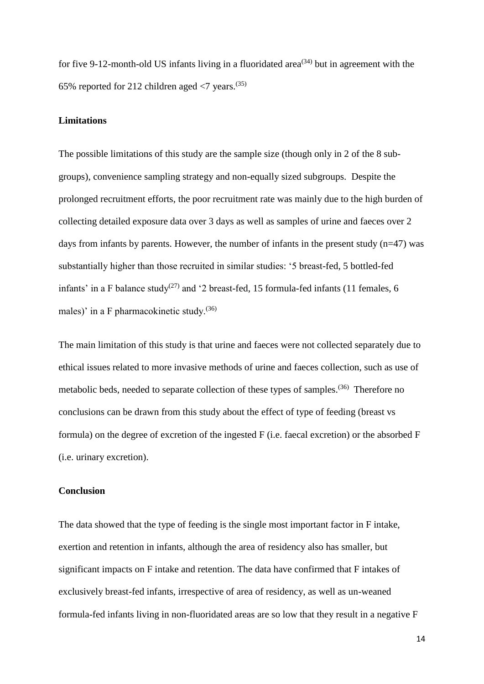for five 9-12-month-old US infants living in a fluoridated area<sup>(34)</sup> but in agreement with the 65% reported for 212 children aged  $\langle 7 \rangle$  vears.<sup>(35)</sup>

## **Limitations**

The possible limitations of this study are the sample size (though only in 2 of the 8 subgroups), convenience sampling strategy and non-equally sized subgroups. Despite the prolonged recruitment efforts, the poor recruitment rate was mainly due to the high burden of collecting detailed exposure data over 3 days as well as samples of urine and faeces over 2 days from infants by parents. However, the number of infants in the present study  $(n=47)$  was substantially higher than those recruited in similar studies: '5 breast-fed, 5 bottled-fed infants' in a F balance study<sup>(27)</sup> and '2 breast-fed, 15 formula-fed infants (11 females, 6 males)' in a F pharmacokinetic study.(36)

The main limitation of this study is that urine and faeces were not collected separately due to ethical issues related to more invasive methods of urine and faeces collection, such as use of metabolic beds, needed to separate collection of these types of samples.<sup>(36)</sup> Therefore no conclusions can be drawn from this study about the effect of type of feeding (breast vs formula) on the degree of excretion of the ingested F (i.e. faecal excretion) or the absorbed F (i.e. urinary excretion).

#### **Conclusion**

The data showed that the type of feeding is the single most important factor in F intake, exertion and retention in infants, although the area of residency also has smaller, but significant impacts on F intake and retention. The data have confirmed that F intakes of exclusively breast-fed infants, irrespective of area of residency, as well as un-weaned formula-fed infants living in non-fluoridated areas are so low that they result in a negative F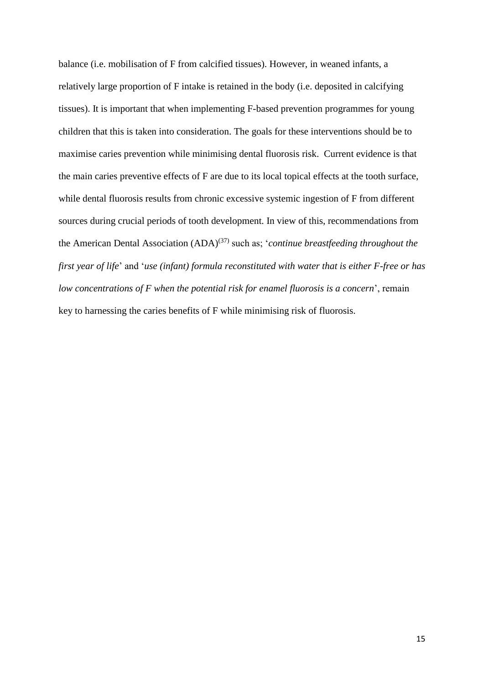balance (i.e. mobilisation of F from calcified tissues). However, in weaned infants, a relatively large proportion of F intake is retained in the body (i.e. deposited in calcifying tissues). It is important that when implementing F-based prevention programmes for young children that this is taken into consideration. The goals for these interventions should be to maximise caries prevention while minimising dental fluorosis risk. Current evidence is that the main caries preventive effects of F are due to its local topical effects at the tooth surface, while dental fluorosis results from chronic excessive systemic ingestion of F from different sources during crucial periods of tooth development. In view of this, recommendations from the American Dental Association (ADA)<sup>(37)</sup> such as; '*continue breastfeeding throughout the first year of life*' and '*use (infant) formula reconstituted with water that is either F-free or has low concentrations of F when the potential risk for enamel fluorosis is a concern*', remain key to harnessing the caries benefits of F while minimising risk of fluorosis.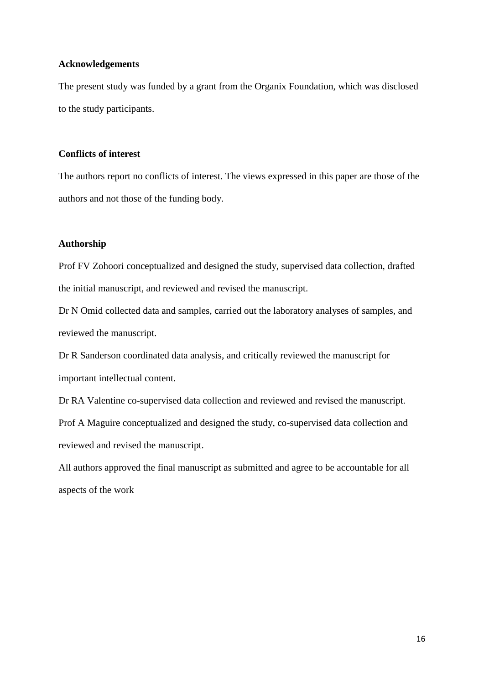## **Acknowledgements**

The present study was funded by a grant from the Organix Foundation, which was disclosed to the study participants.

## **Conflicts of interest**

The authors report no conflicts of interest. The views expressed in this paper are those of the authors and not those of the funding body.

## **Authorship**

Prof FV Zohoori conceptualized and designed the study, supervised data collection, drafted the initial manuscript, and reviewed and revised the manuscript.

Dr N Omid collected data and samples, carried out the laboratory analyses of samples, and reviewed the manuscript.

Dr R Sanderson coordinated data analysis, and critically reviewed the manuscript for important intellectual content.

Dr RA Valentine co-supervised data collection and reviewed and revised the manuscript.

Prof A Maguire conceptualized and designed the study, co-supervised data collection and reviewed and revised the manuscript.

All authors approved the final manuscript as submitted and agree to be accountable for all aspects of the work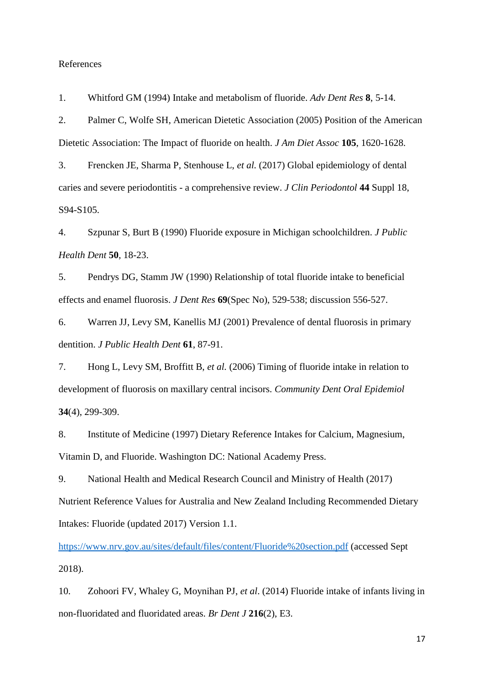#### References

1. Whitford GM (1994) Intake and metabolism of fluoride. *Adv Dent Res* **8**, 5-14.

2. Palmer C, Wolfe SH, American Dietetic Association (2005) Position of the American Dietetic Association: The Impact of fluoride on health. *J Am Diet Assoc* **105**, 1620-1628.

3. Frencken JE, Sharma P, Stenhouse L, *et al.* (2017) Global epidemiology of dental caries and severe periodontitis - a comprehensive review. *J Clin Periodontol* **44** Suppl 18, S94-S105.

4. Szpunar S, Burt B (1990) Fluoride exposure in Michigan schoolchildren. *J Public Health Dent* **50**, 18-23.

5. Pendrys DG, Stamm JW (1990) Relationship of total fluoride intake to beneficial effects and enamel fluorosis. *J Dent Res* **69**(Spec No), 529-538; discussion 556-527.

6. Warren JJ, Levy SM, Kanellis MJ (2001) Prevalence of dental fluorosis in primary dentition. *J Public Health Dent* **61**, 87-91.

7. Hong L, Levy SM, Broffitt B, *et al.* (2006) Timing of fluoride intake in relation to development of fluorosis on maxillary central incisors. *Community Dent Oral Epidemiol* **34**(4), 299-309.

8. Institute of Medicine (1997) Dietary Reference Intakes for Calcium, Magnesium, Vitamin D, and Fluoride. Washington DC: National Academy Press.

9. National Health and Medical Research Council and Ministry of Health (2017) Nutrient Reference Values for Australia and New Zealand Including Recommended Dietary Intakes: Fluoride (updated 2017) Version 1.1.

<https://www.nrv.gov.au/sites/default/files/content/Fluoride%20section.pdf> (accessed Sept 2018).

10. Zohoori FV, Whaley G, Moynihan PJ, *et al*. (2014) Fluoride intake of infants living in non-fluoridated and fluoridated areas. *Br Dent J* **216**(2), E3.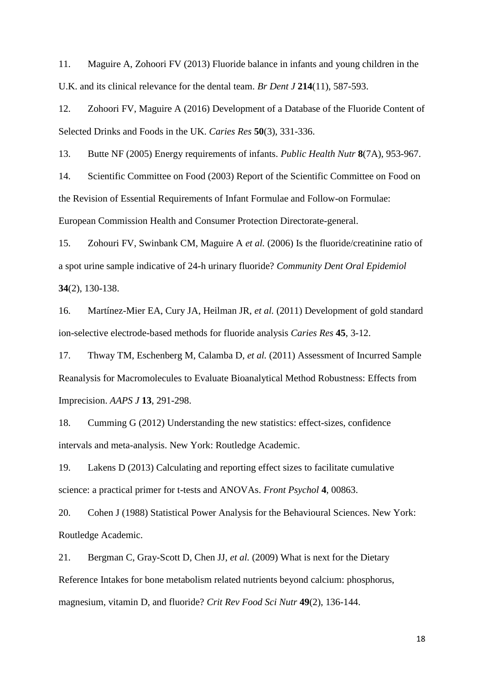11. Maguire A, Zohoori FV (2013) Fluoride balance in infants and young children in the U.K. and its clinical relevance for the dental team. *Br Dent J* **214**(11), 587-593.

12. Zohoori FV, Maguire A (2016) Development of a Database of the Fluoride Content of Selected Drinks and Foods in the UK. *Caries Res* **50**(3), 331-336.

13. Butte NF (2005) Energy requirements of infants. *Public Health Nutr* **8**(7A), 953-967.

14. Scientific Committee on Food (2003) Report of the Scientific Committee on Food on the Revision of Essential Requirements of Infant Formulae and Follow-on Formulae: European Commission Health and Consumer Protection Directorate-general.

15. Zohouri FV, Swinbank CM, Maguire A *et al.* (2006) Is the fluoride/creatinine ratio of a spot urine sample indicative of 24-h urinary fluoride? *Community Dent Oral Epidemiol* **34**(2), 130-138.

16. Martínez-Mier EA, Cury JA, Heilman JR, *et al.* (2011) Development of gold standard ion-selective electrode-based methods for fluoride analysis *Caries Res* **45**, 3-12.

17. Thway TM, Eschenberg M, Calamba D, *et al.* (2011) Assessment of Incurred Sample Reanalysis for Macromolecules to Evaluate Bioanalytical Method Robustness: Effects from Imprecision. *AAPS J* **13**, 291-298.

18. Cumming G (2012) Understanding the new statistics: effect-sizes, confidence intervals and meta-analysis. New York: Routledge Academic.

19. Lakens D (2013) Calculating and reporting effect sizes to facilitate cumulative science: a practical primer for t-tests and ANOVAs. *Front Psychol* **4**, 00863.

20. Cohen J (1988) Statistical Power Analysis for the Behavioural Sciences. New York: Routledge Academic.

21. Bergman C, Gray-Scott D, Chen JJ, *et al.* (2009) What is next for the Dietary Reference Intakes for bone metabolism related nutrients beyond calcium: phosphorus, magnesium, vitamin D, and fluoride? *Crit Rev Food Sci Nutr* **49**(2), 136-144.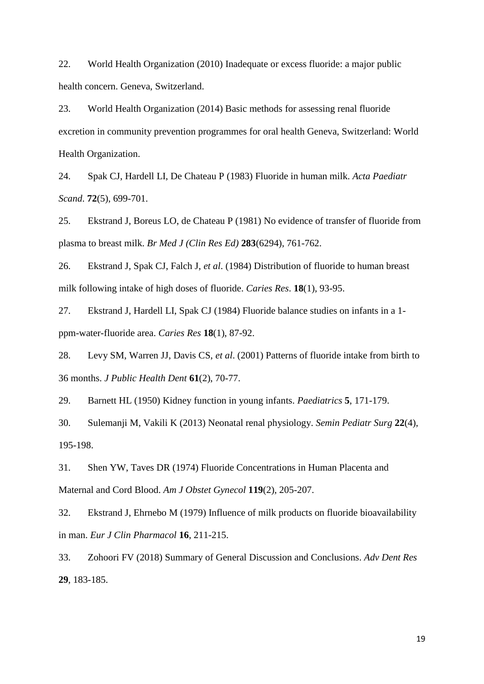22. World Health Organization (2010) Inadequate or excess fluoride: a major public health concern. Geneva, Switzerland.

23. World Health Organization (2014) Basic methods for assessing renal fluoride excretion in community prevention programmes for oral health Geneva, Switzerland: World Health Organization.

24. Spak CJ, Hardell LI, De Chateau P (1983) Fluoride in human milk. *Acta Paediatr Scand*. **72**(5), 699-701.

25. Ekstrand J, Boreus LO, de Chateau P (1981) No evidence of transfer of fluoride from plasma to breast milk. *Br Med J (Clin Res Ed)* **283**(6294), 761-762.

26. Ekstrand J, Spak CJ, Falch J, *et al*. (1984) Distribution of fluoride to human breast milk following intake of high doses of fluoride. *Caries Res*. **18**(1), 93-95.

27. Ekstrand J, Hardell LI, Spak CJ (1984) Fluoride balance studies on infants in a 1 ppm-water-fluoride area. *Caries Res* **18**(1), 87-92.

28. Levy SM, Warren JJ, Davis CS, *et al*. (2001) Patterns of fluoride intake from birth to 36 months. *J Public Health Dent* **61**(2), 70-77.

29. Barnett HL (1950) Kidney function in young infants. *Paediatrics* **5**, 171-179.

30. Sulemanji M, Vakili K (2013) Neonatal renal physiology. *Semin Pediatr Surg* **22**(4), 195-198.

31. Shen YW, Taves DR (1974) Fluoride Concentrations in Human Placenta and Maternal and Cord Blood. *Am J Obstet Gynecol* **119**(2), 205-207.

32. Ekstrand J, Ehrnebo M (1979) Influence of milk products on fluoride bioavailability in man. *Eur J Clin Pharmacol* **16**, 211-215.

33. Zohoori FV (2018) Summary of General Discussion and Conclusions. *Adv Dent Res* **29**, 183-185.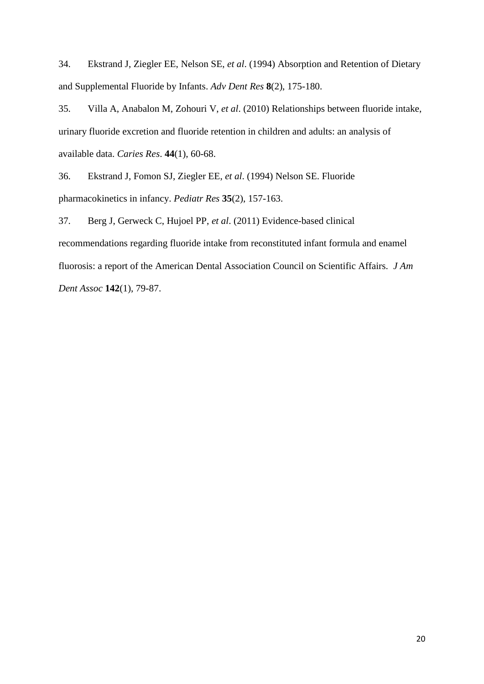34. Ekstrand J, Ziegler EE, Nelson SE, *et al*. (1994) Absorption and Retention of Dietary and Supplemental Fluoride by Infants. *Adv Dent Res* **8**(2), 175-180.

35. Villa A, Anabalon M, Zohouri V, *et al*. (2010) Relationships between fluoride intake, urinary fluoride excretion and fluoride retention in children and adults: an analysis of available data. *Caries Res*. **44**(1), 60-68.

36. Ekstrand J, Fomon SJ, Ziegler EE, *et al*. (1994) Nelson SE. Fluoride pharmacokinetics in infancy. *Pediatr Res* **35**(2), 157-163.

37. Berg J, Gerweck C, Hujoel PP, *et al*. (2011) Evidence-based clinical recommendations regarding fluoride intake from reconstituted infant formula and enamel fluorosis: a report of the American Dental Association Council on Scientific Affairs. *J Am Dent Assoc* **142**(1), 79-87.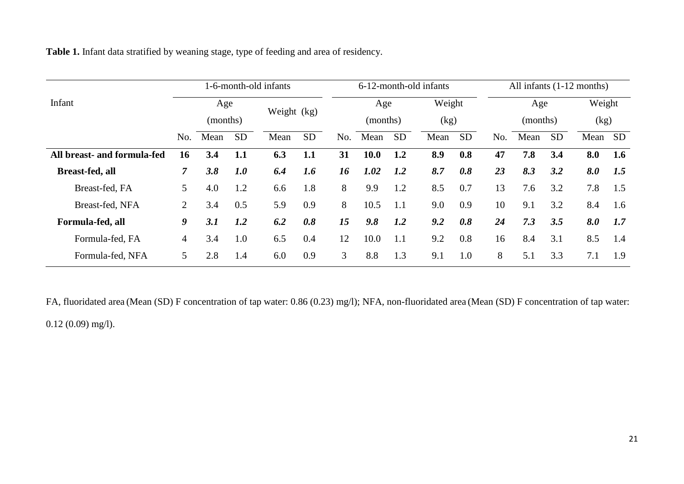**Table 1.** Infant data stratified by weaning stage, type of feeding and area of residency.

|                             | 1-6-month-old infants |          |           |             |           | 6-12-month-old infants |          |           |      | All infants $(1-12$ months) |     |          |           |      |           |
|-----------------------------|-----------------------|----------|-----------|-------------|-----------|------------------------|----------|-----------|------|-----------------------------|-----|----------|-----------|------|-----------|
| Infant                      | Age                   |          |           |             | Age       |                        | Weight   |           | Age  |                             |     | Weight   |           |      |           |
|                             |                       | (months) |           | Weight (kg) |           |                        | (months) |           | (kg) |                             |     | (months) |           | (kg) |           |
|                             | No.                   | Mean     | <b>SD</b> | Mean        | <b>SD</b> | No.                    | Mean     | <b>SD</b> | Mean | <b>SD</b>                   | No. | Mean     | <b>SD</b> | Mean | <b>SD</b> |
| All breast- and formula-fed | 16                    | 3.4      | 1.1       | 6.3         | 1.1       | 31                     | 10.0     | 1.2       | 8.9  | 0.8                         | 47  | 7.8      | 3.4       | 8.0  | 1.6       |
| Breast-fed, all             | $\overline{7}$        | 3.8      | 1.0       | 6.4         | 1.6       | 16                     | 1.02     | 1.2       | 8.7  | 0.8                         | 23  | 8.3      | 3.2       | 8.0  | 1.5       |
| Breast-fed, FA              | 5                     | 4.0      | 1.2       | 6.6         | 1.8       | 8                      | 9.9      | 1.2       | 8.5  | 0.7                         | 13  | 7.6      | 3.2       | 7.8  | 1.5       |
| Breast-fed, NFA             | $\overline{2}$        | 3.4      | 0.5       | 5.9         | 0.9       | 8                      | 10.5     | 1.1       | 9.0  | 0.9                         | 10  | 9.1      | 3.2       | 8.4  | 1.6       |
| Formula-fed, all            | 9                     | 3.1      | 1.2       | 6.2         | 0.8       | 15                     | 9.8      | 1.2       | 9.2  | 0.8                         | 24  | 7.3      | 3.5       | 8.0  | 1.7       |
| Formula-fed, FA             | $\overline{4}$        | 3.4      | 1.0       | 6.5         | 0.4       | 12                     | 10.0     | 1.1       | 9.2  | 0.8                         | 16  | 8.4      | 3.1       | 8.5  | 1.4       |
| Formula-fed, NFA            | 5                     | 2.8      | 1.4       | 6.0         | 0.9       | 3                      | 8.8      | 1.3       | 9.1  | 1.0                         | 8   | 5.1      | 3.3       | 7.1  | 1.9       |

FA, fluoridated area (Mean (SD) F concentration of tap water: 0.86 (0.23) mg/l); NFA, non-fluoridated area (Mean (SD) F concentration of tap water: 0.12 (0.09) mg/l).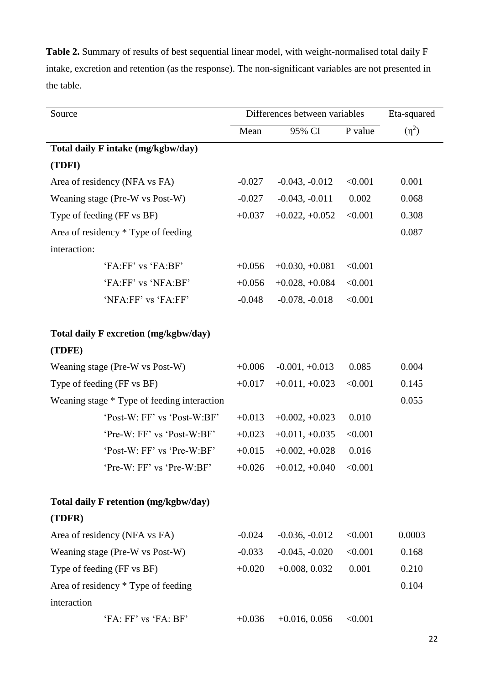**Table 2.** Summary of results of best sequential linear model, with weight-normalised total daily F intake, excretion and retention (as the response). The non-significant variables are not presented in the table.

| Source                                      | Differences between variables | Eta-squared                      |         |            |
|---------------------------------------------|-------------------------------|----------------------------------|---------|------------|
|                                             | Mean                          | 95% CI                           | P value | $(\eta^2)$ |
| Total daily F intake (mg/kgbw/day)          |                               |                                  |         |            |
| (TDFI)                                      |                               |                                  |         |            |
| Area of residency (NFA vs FA)               | $-0.027$                      | $-0.043, -0.012$                 | < 0.001 | 0.001      |
| Weaning stage (Pre-W vs Post-W)             | $-0.027$                      | $-0.043, -0.011$                 | 0.002   | 0.068      |
| Type of feeding (FF vs BF)                  | $+0.037$                      | $+0.022, +0.052$                 | < 0.001 | 0.308      |
| Area of residency * Type of feeding         |                               |                                  |         | 0.087      |
| interaction:                                |                               |                                  |         |            |
| 'FA:FF' vs 'FA:BF'                          | $+0.056$                      | $+0.030, +0.081$                 | < 0.001 |            |
| 'FA:FF' vs 'NFA:BF'                         | $+0.056$                      | $+0.028, +0.084$                 | < 0.001 |            |
| 'NFA:FF' vs 'FA:FF'                         | $-0.048$                      | $-0.078, -0.018$                 | < 0.001 |            |
| Total daily F excretion (mg/kgbw/day)       |                               |                                  |         |            |
| (TDFE)                                      |                               |                                  |         |            |
| Weaning stage (Pre-W vs Post-W)             | $+0.006$                      | $-0.001, +0.013$                 | 0.085   | 0.004      |
| Type of feeding (FF vs BF)                  | $+0.017$                      | $+0.011, +0.023$                 | < 0.001 | 0.145      |
| Weaning stage * Type of feeding interaction |                               |                                  |         | 0.055      |
| 'Post-W: FF' vs 'Post-W:BF'                 | $+0.013$                      | $+0.002, +0.023$                 | 0.010   |            |
| 'Pre-W: FF' vs 'Post-W:BF'                  | $+0.023$                      | $+0.011, +0.035$                 | < 0.001 |            |
| 'Post-W: FF' vs 'Pre-W:BF'                  | $+0.015$                      | $+0.002, +0.028$                 | 0.016   |            |
| 'Pre-W: FF' vs 'Pre-W:BF'                   |                               | $+0.026$ $+0.012, +0.040$ <0.001 |         |            |
| Total daily F retention (mg/kgbw/day)       |                               |                                  |         |            |
| (TDFR)                                      |                               |                                  |         |            |
| Area of residency (NFA vs FA)               | $-0.024$                      | $-0.036, -0.012$                 | < 0.001 | 0.0003     |
| Weaning stage (Pre-W vs Post-W)             | $-0.033$                      | $-0.045, -0.020$                 | < 0.001 | 0.168      |
| Type of feeding (FF vs BF)                  | $+0.020$                      | $+0.008, 0.032$                  | 0.001   | 0.210      |
| Area of residency * Type of feeding         |                               |                                  |         | 0.104      |
| interaction                                 |                               |                                  |         |            |
| 'FA: FF' vs 'FA: BF'                        | $+0.036$                      | $+0.016, 0.056$                  | < 0.001 |            |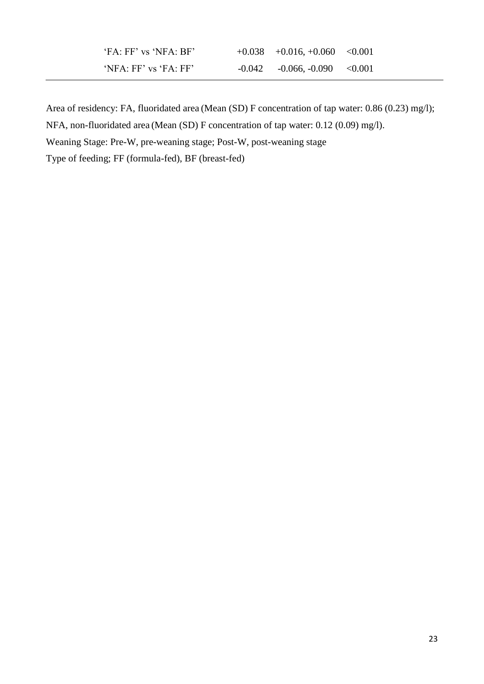| 'FA: FF' vs 'NFA: BF' | $+0.038$ $+0.016$ , $+0.060$ $< 0.001$ |  |
|-----------------------|----------------------------------------|--|
| 'NFA: FF' vs 'FA: FF' | $-0.042$ $-0.066$ , $-0.090$ $< 0.001$ |  |

Area of residency: FA, fluoridated area (Mean (SD) F concentration of tap water: 0.86 (0.23) mg/l);

NFA, non-fluoridated area (Mean (SD) F concentration of tap water: 0.12 (0.09) mg/l).

Weaning Stage: Pre-W, pre-weaning stage; Post-W, post-weaning stage

Type of feeding; FF (formula-fed), BF (breast-fed)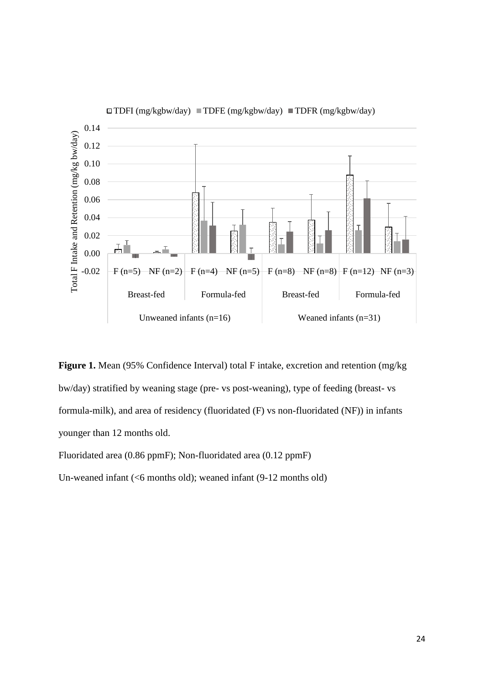

**Figure 1.** Mean (95% Confidence Interval) total F intake, excretion and retention (mg/kg bw/day) stratified by weaning stage (pre- vs post-weaning), type of feeding (breast- vs formula-milk), and area of residency (fluoridated (F) vs non-fluoridated (NF)) in infants younger than 12 months old.

Fluoridated area (0.86 ppmF); Non-fluoridated area (0.12 ppmF)

Un-weaned infant (<6 months old); weaned infant (9-12 months old)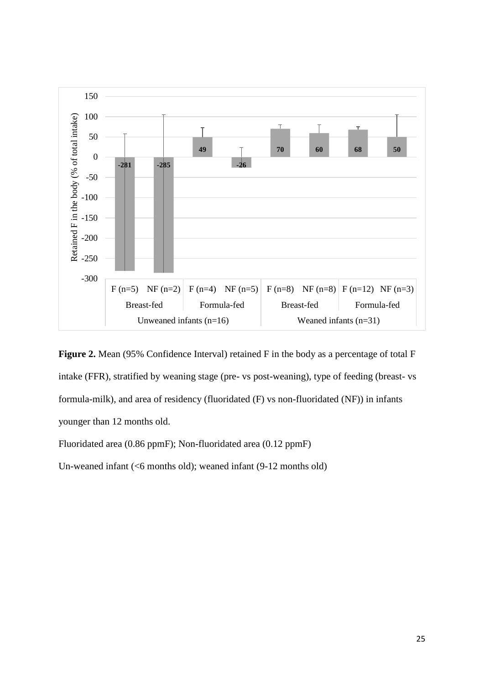



Fluoridated area (0.86 ppmF); Non-fluoridated area (0.12 ppmF)

Un-weaned infant (<6 months old); weaned infant (9-12 months old)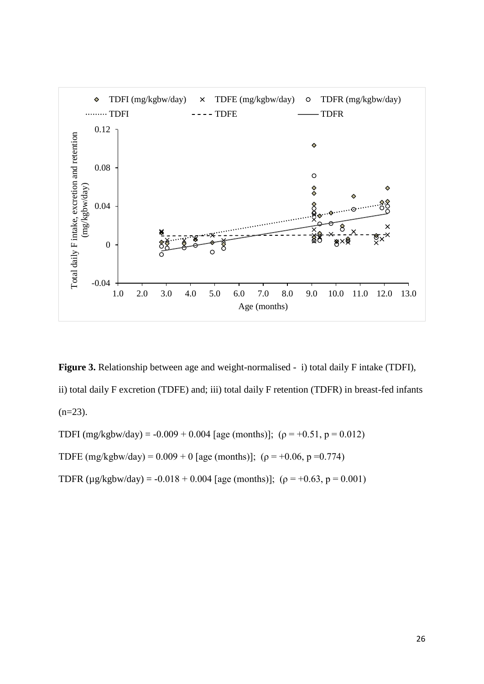

**Figure 3.** Relationship between age and weight-normalised - i) total daily F intake (TDFI), ii) total daily F excretion (TDFE) and; iii) total daily F retention (TDFR) in breast-fed infants  $(n=23)$ .

TDFI (mg/kgbw/day) = -0.009 + 0.004 [age (months)]; ( $\rho$  = +0.51, p = 0.012) TDFE (mg/kgbw/day) =  $0.009 + 0$  [age (months)]; ( $\rho = +0.06$ ,  $p = 0.774$ )

TDFR ( $\mu$ g/kgbw/day) = -0.018 + 0.004 [age (months)]; ( $\rho$  = +0.63, p = 0.001)